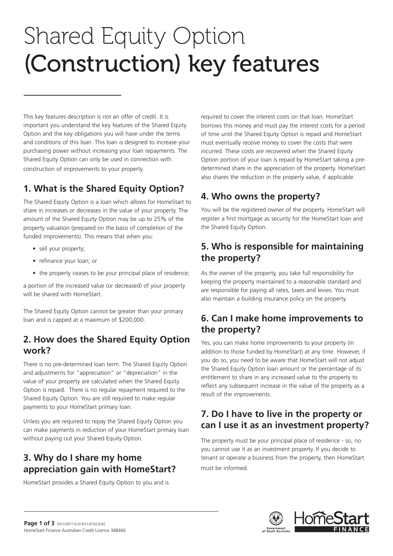# Shared Equity Option (Construction) key features

This key features description is not an offer of credit. It is important you understand the key features of the Shared Equity Option and the key obligations you will have under the terms and conditions of this loan. This loan is designed to increase your purchasing power without increasing your loan repayments. The Shared Equity Option can only be used in connection with construction of improvements to your property.

# **1. What is the Shared Equity Option?**

The Shared Equity Option is a loan which allows for HomeStart to share in increases or decreases in the value of your property. The amount of the Shared Equity Option may be up to 25% of the property valuation (prepared on the basis of completion of the funded improvements). This means that when you:

- sell your property;
- refinance your loan; or
- the property ceases to be your principal place of residence;

a portion of the increased value (or decreased) of your property will be shared with HomeStart

The Shared Equity Option cannot be greater than your primary loan and is capped at a maximum of \$200,000.

### **2. How does the Shared Equity Option work?**

There is no pre-determined loan term. The Shared Equity Option and adjustments for "appreciation" or "depreciation" in the value of your property are calculated when the Shared Equity Option is repaid. There is no regular repayment required to the Shared Equity Option. You are still required to make regular payments to your HomeStart primary loan.

Unless you are required to repay the Shared Equity Option you can make payments in reduction of your HomeStart primary loan without paying out your Shared Equity Option.

# **3. Why do I share my home appreciation gain with HomeStart?**

HomeStart provides a Shared Equity Option to you and is

required to cover the interest costs on that loan. HomeStart borrows this money and must pay the interest costs for a period of time until the Shared Equity Option is repaid and HomeStart must eventually receive money to cover the costs that were incurred. These costs are recovered when the Shared Equity Option portion of your loan is repaid by HomeStart taking a predetermined share in the appreciation of the property. HomeStart also shares the reduction in the property value, if applicable.

# **4. Who owns the property?**

You will be the registered owner of the property. HomeStart will register a first mortgage as security for the HomeStart loan and the Shared Equity Option.

## **5. Who is responsible for maintaining the property?**

As the owner of the property, you take full responsibility for keeping the property maintained to a reasonable standard and are responsible for paying all rates, taxes and levies. You must also maintain a building insurance policy on the property.

## **6. Can I make home improvements to the property?**

Yes, you can make home improvements to your property (in addition to those funded by HomeStart) at any time. However, if you do so, you need to be aware that HomeStart will not adjust the Shared Equity Option loan amount or the percentage of its entitlement to share in any increased value to the property to reflect any subsequent increase in the value of the property as a result of the improvements.

## **7. Do I have to live in the property or can I use it as an investment property?**

The property must be your principal place of residence - so, no you cannot use it as an investment property. If you decide to tenant or operate a business from the property, then HomeStart must be informed.

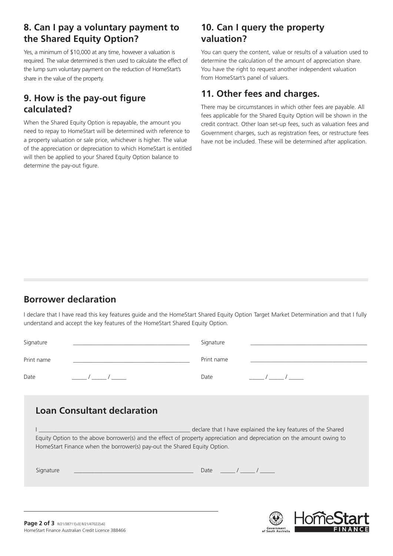### **8. Can I pay a voluntary payment to the Shared Equity Option?**

Yes, a minimum of \$10,000 at any time, however a valuation is required. The value determined is then used to calculate the effect of the lump sum voluntary payment on the reduction of HomeStart's share in the value of the property.

### **9. How is the pay-out figure calculated?**

When the Shared Equity Option is repayable, the amount you need to repay to HomeStart will be determined with reference to a property valuation or sale price, whichever is higher. The value of the appreciation or depreciation to which HomeStart is entitled will then be applied to your Shared Equity Option balance to determine the pay-out figure.

### **10. Can I query the property valuation?**

You can query the content, value or results of a valuation used to determine the calculation of the amount of appreciation share. You have the right to request another independent valuation from HomeStart's panel of valuers.

## **11. Other fees and charges.**

There may be circumstances in which other fees are payable. All fees applicable for the Shared Equity Option will be shown in the credit contract. Other loan set-up fees, such as valuation fees and Government charges, such as registration fees, or restructure fees have not be included. These will be determined after application.

# **Borrower declaration**

I declare that I have read this key features guide and the HomeStart Shared Equity Option Target Market Determination and that I fully understand and accept the key features of the HomeStart Shared Equity Option.

| Signature                          | Signature                                                    |
|------------------------------------|--------------------------------------------------------------|
| Print name                         | Print name                                                   |
| Date                               | Date                                                         |
| <b>Loan Consultant declaration</b> | declare that I have explained the key features of the Shared |

Equity Option to the above borrower(s) and the effect of property appreciation and depreciation on the amount owing to HomeStart Finance when the borrower(s) pay-out the Shared Equity Option.

| -<br>ш<br>∽<br>$\overline{\phantom{0}}$ | . |  |
|-----------------------------------------|---|--|
|-----------------------------------------|---|--|